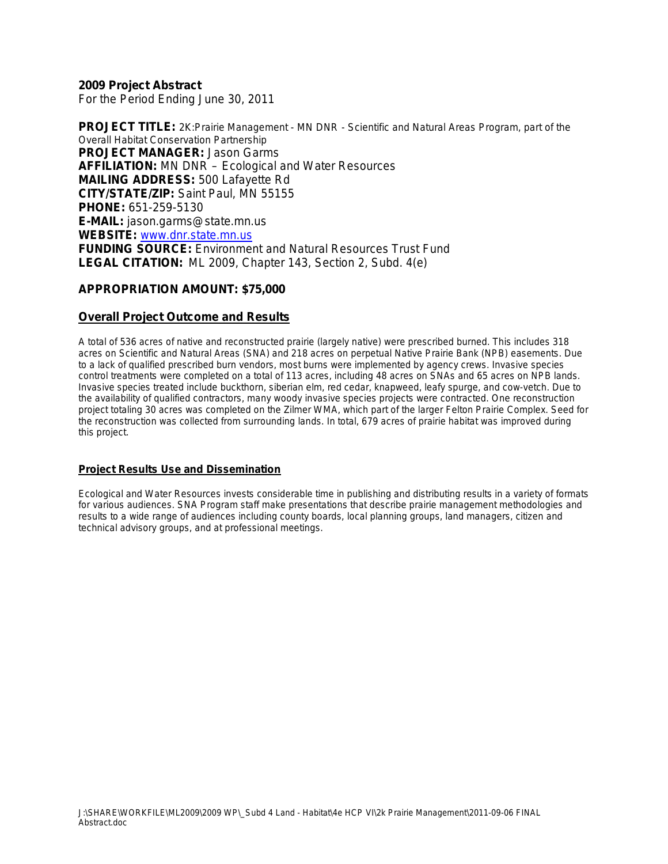#### **2009 Project Abstract**

For the Period Ending June 30, 2011

**PROJECT TITLE:** 2K:Prairie Management - MN DNR - Scientific and Natural Areas Program, part of the Overall Habitat Conservation Partnership **PROJECT MANAGER:** Jason Garms **AFFILIATION:** MN DNR – Ecological and Water Resources **MAILING ADDRESS:** 500 Lafayette Rd **CITY/STATE/ZIP:** Saint Paul, MN 55155 **PHONE:** 651-259-5130 **E-MAIL:** jason.garms@state.mn.us **WEBSITE:** [www.dnr.state.mn.us](http://www.dnr.state.mn.us/) **FUNDING SOURCE:** Environment and Natural Resources Trust Fund **LEGAL CITATION:** ML 2009, Chapter 143, Section 2, Subd. 4(e)

#### **APPROPRIATION AMOUNT: \$75,000**

#### **Overall Project Outcome and Results**

A total of 536 acres of native and reconstructed prairie (largely native) were prescribed burned. This includes 318 acres on Scientific and Natural Areas (SNA) and 218 acres on perpetual Native Prairie Bank (NPB) easements. Due to a lack of qualified prescribed burn vendors, most burns were implemented by agency crews. Invasive species control treatments were completed on a total of 113 acres, including 48 acres on SNAs and 65 acres on NPB lands. Invasive species treated include buckthorn, siberian elm, red cedar, knapweed, leafy spurge, and cow-vetch. Due to the availability of qualified contractors, many woody invasive species projects were contracted. One reconstruction project totaling 30 acres was completed on the Zilmer WMA, which part of the larger Felton Prairie Complex. Seed for the reconstruction was collected from surrounding lands. In total, 679 acres of prairie habitat was improved during this project.

#### **Project Results Use and Dissemination**

Ecological and Water Resources invests considerable time in publishing and distributing results in a variety of formats for various audiences. SNA Program staff make presentations that describe prairie management methodologies and results to a wide range of audiences including county boards, local planning groups, land managers, citizen and technical advisory groups, and at professional meetings.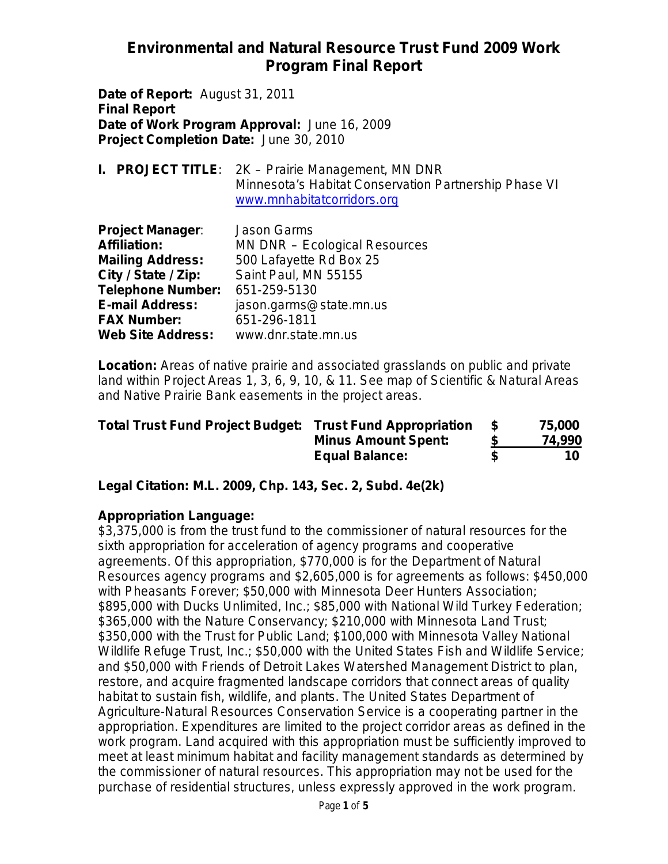**Date of Report:** August 31, 2011 **Final Report Date of Work Program Approval:** June 16, 2009 **Project Completion Date:** June 30, 2010

|  | <b>I. PROJECT TITLE:</b> 2K – Prairie Management, MN DNR |
|--|----------------------------------------------------------|
|  | Minnesota's Habitat Conservation Partnership Phase VI    |
|  | www.mnhabitatcorridors.org                               |

| <b>Project Manager:</b>  | <b>Jason Garms</b>            |
|--------------------------|-------------------------------|
| <b>Affiliation:</b>      | MN DNR - Ecological Resources |
| <b>Mailing Address:</b>  | 500 Lafayette Rd Box 25       |
| City / State / Zip:      | Saint Paul, MN 55155          |
| <b>Telephone Number:</b> | 651-259-5130                  |
| <b>E-mail Address:</b>   | jason.garms@state.mn.us       |
| <b>FAX Number:</b>       | 651-296-1811                  |
| <b>Web Site Address:</b> | www.dnr.state.mn.us           |

**Location:** Areas of native prairie and associated grasslands on public and private land within Project Areas 1, 3, 6, 9, 10, & 11. See map of Scientific & Natural Areas and Native Prairie Bank easements in the project areas.

| <b>Total Trust Fund Project Budget: Trust Fund Appropriation</b> |                            | 75,000 |
|------------------------------------------------------------------|----------------------------|--------|
|                                                                  | <b>Minus Amount Spent:</b> | 74,990 |
|                                                                  | <b>Equal Balance:</b>      | 10     |

**Legal Citation: M.L. 2009, Chp. 143, Sec. 2, Subd. 4e(2k)**

### **Appropriation Language:**

\$3,375,000 is from the trust fund to the commissioner of natural resources for the sixth appropriation for acceleration of agency programs and cooperative agreements. Of this appropriation, \$770,000 is for the Department of Natural Resources agency programs and \$2,605,000 is for agreements as follows: \$450,000 with Pheasants Forever; \$50,000 with Minnesota Deer Hunters Association; \$895,000 with Ducks Unlimited, Inc.; \$85,000 with National Wild Turkey Federation; \$365,000 with the Nature Conservancy; \$210,000 with Minnesota Land Trust; \$350,000 with the Trust for Public Land; \$100,000 with Minnesota Valley National Wildlife Refuge Trust, Inc.; \$50,000 with the United States Fish and Wildlife Service; and \$50,000 with Friends of Detroit Lakes Watershed Management District to plan, restore, and acquire fragmented landscape corridors that connect areas of quality habitat to sustain fish, wildlife, and plants. The United States Department of Agriculture-Natural Resources Conservation Service is a cooperating partner in the appropriation. Expenditures are limited to the project corridor areas as defined in the work program. Land acquired with this appropriation must be sufficiently improved to meet at least minimum habitat and facility management standards as determined by the commissioner of natural resources. This appropriation may not be used for the purchase of residential structures, unless expressly approved in the work program.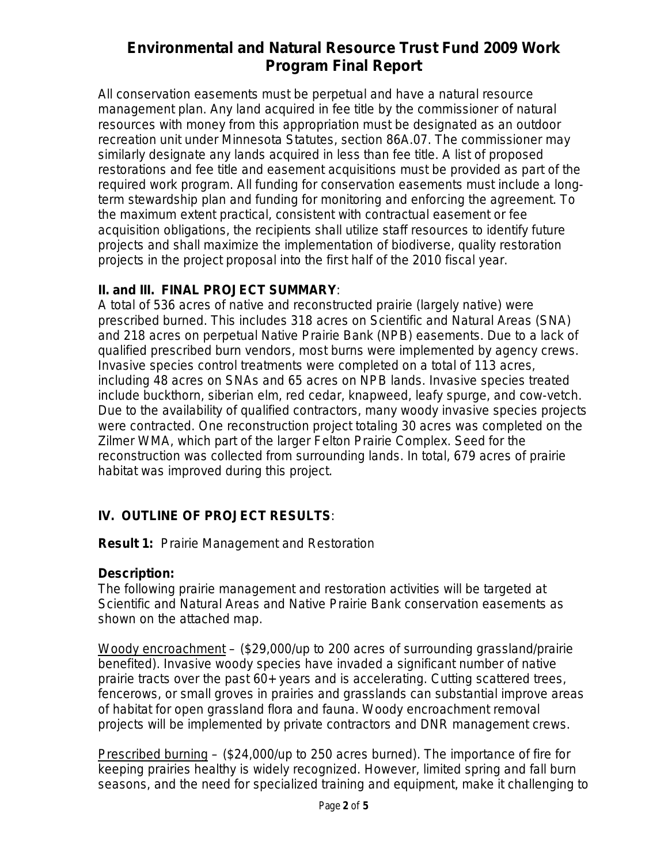All conservation easements must be perpetual and have a natural resource management plan. Any land acquired in fee title by the commissioner of natural resources with money from this appropriation must be designated as an outdoor recreation unit under Minnesota Statutes, section 86A.07. The commissioner may similarly designate any lands acquired in less than fee title. A list of proposed restorations and fee title and easement acquisitions must be provided as part of the required work program. All funding for conservation easements must include a longterm stewardship plan and funding for monitoring and enforcing the agreement. To the maximum extent practical, consistent with contractual easement or fee acquisition obligations, the recipients shall utilize staff resources to identify future projects and shall maximize the implementation of biodiverse, quality restoration projects in the project proposal into the first half of the 2010 fiscal year.

### **II. and III. FINAL PROJECT SUMMARY**:

A total of 536 acres of native and reconstructed prairie (largely native) were prescribed burned. This includes 318 acres on Scientific and Natural Areas (SNA) and 218 acres on perpetual Native Prairie Bank (NPB) easements. Due to a lack of qualified prescribed burn vendors, most burns were implemented by agency crews. Invasive species control treatments were completed on a total of 113 acres, including 48 acres on SNAs and 65 acres on NPB lands. Invasive species treated include buckthorn, siberian elm, red cedar, knapweed, leafy spurge, and cow-vetch. Due to the availability of qualified contractors, many woody invasive species projects were contracted. One reconstruction project totaling 30 acres was completed on the Zilmer WMA, which part of the larger Felton Prairie Complex. Seed for the reconstruction was collected from surrounding lands. In total, 679 acres of prairie habitat was improved during this project.

### **IV. OUTLINE OF PROJECT RESULTS**:

**Result 1:** Prairie Management and Restoration

### **Description:**

The following prairie management and restoration activities will be targeted at Scientific and Natural Areas and Native Prairie Bank conservation easements as shown on the attached map.

Woody encroachment – (\$29,000/up to 200 acres of surrounding grassland/prairie benefited). Invasive woody species have invaded a significant number of native prairie tracts over the past 60+ years and is accelerating. Cutting scattered trees, fencerows, or small groves in prairies and grasslands can substantial improve areas of habitat for open grassland flora and fauna. Woody encroachment removal projects will be implemented by private contractors and DNR management crews.

Prescribed burning – (\$24,000/up to 250 acres burned). The importance of fire for keeping prairies healthy is widely recognized. However, limited spring and fall burn seasons, and the need for specialized training and equipment, make it challenging to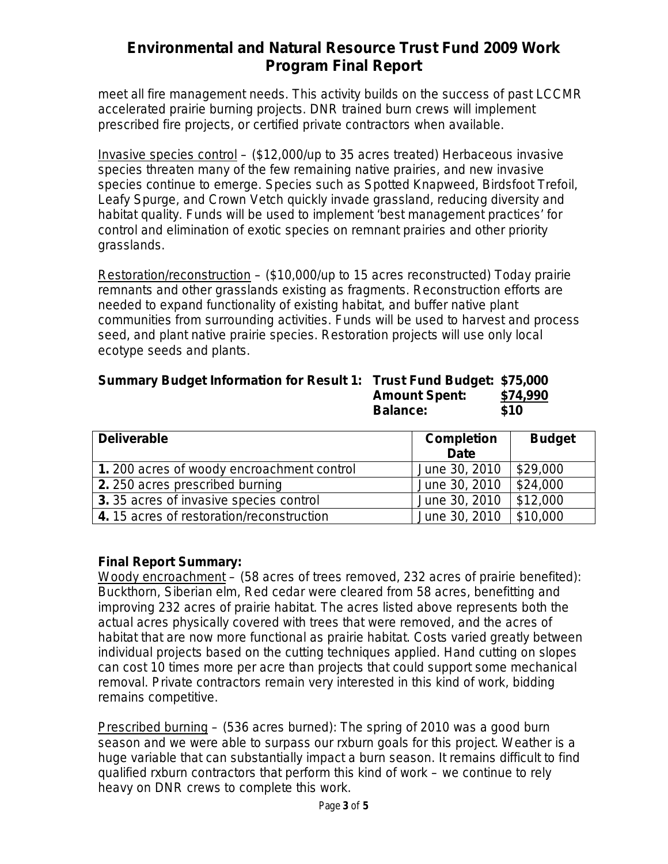meet all fire management needs. This activity builds on the success of past LCCMR accelerated prairie burning projects. DNR trained burn crews will implement prescribed fire projects, or certified private contractors when available.

Invasive species control – (\$12,000/up to 35 acres treated) Herbaceous invasive species threaten many of the few remaining native prairies, and new invasive species continue to emerge. Species such as Spotted Knapweed, Birdsfoot Trefoil, Leafy Spurge, and Crown Vetch quickly invade grassland, reducing diversity and habitat quality. Funds will be used to implement 'best management practices' for control and elimination of exotic species on remnant prairies and other priority grasslands.

Restoration/reconstruction – (\$10,000/up to 15 acres reconstructed) Today prairie remnants and other grasslands existing as fragments. Reconstruction efforts are needed to expand functionality of existing habitat, and buffer native plant communities from surrounding activities. Funds will be used to harvest and process seed, and plant native prairie species. Restoration projects will use only local ecotype seeds and plants.

#### **Summary Budget Information for Result 1: Trust Fund Budget: \$75,000 Amount Spent: \$74,990 Balance: \$10**

| <b>Deliverable</b>                        | <b>Completion</b><br><b>Date</b> | <b>Budget</b> |
|-------------------------------------------|----------------------------------|---------------|
| 1.200 acres of woody encroachment control | June 30, 2010                    | \$29,000      |
| 2. 250 acres prescribed burning           | June 30, 2010                    | \$24,000      |
| 3. 35 acres of invasive species control   | June 30, 2010                    | \$12,000      |
| 4.15 acres of restoration/reconstruction  | June 30, 2010                    | \$10,000      |

#### **Final Report Summary:**

Woody encroachment – (58 acres of trees removed, 232 acres of prairie benefited): Buckthorn, Siberian elm, Red cedar were cleared from 58 acres, benefitting and improving 232 acres of prairie habitat. The acres listed above represents both the actual acres physically covered with trees that were removed, and the acres of habitat that are now more functional as prairie habitat. Costs varied greatly between individual projects based on the cutting techniques applied. Hand cutting on slopes can cost 10 times more per acre than projects that could support some mechanical removal. Private contractors remain very interested in this kind of work, bidding remains competitive.

Prescribed burning – (536 acres burned): The spring of 2010 was a good burn season and we were able to surpass our rxburn goals for this project. Weather is a huge variable that can substantially impact a burn season. It remains difficult to find qualified rxburn contractors that perform this kind of work – we continue to rely heavy on DNR crews to complete this work.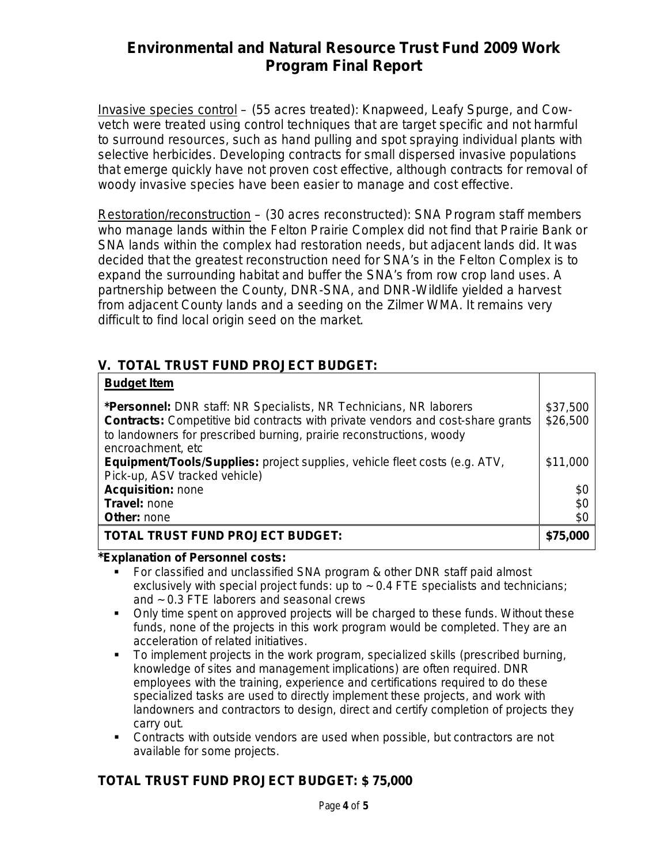Invasive species control – (55 acres treated): Knapweed, Leafy Spurge, and Cowvetch were treated using control techniques that are target specific and not harmful to surround resources, such as hand pulling and spot spraying individual plants with selective herbicides. Developing contracts for small dispersed invasive populations that emerge quickly have not proven cost effective, although contracts for removal of woody invasive species have been easier to manage and cost effective.

Restoration/reconstruction – (30 acres reconstructed): SNA Program staff members who manage lands within the Felton Prairie Complex did not find that Prairie Bank or SNA lands within the complex had restoration needs, but adjacent lands did. It was decided that the greatest reconstruction need for SNA's in the Felton Complex is to expand the surrounding habitat and buffer the SNA's from row crop land uses. A partnership between the County, DNR-SNA, and DNR-Wildlife yielded a harvest from adjacent County lands and a seeding on the Zilmer WMA. It remains very difficult to find local origin seed on the market.

### **V. TOTAL TRUST FUND PROJECT BUDGET:**

| <b>Budget Item</b>                                                                                                                                                                                                                                        |                      |
|-----------------------------------------------------------------------------------------------------------------------------------------------------------------------------------------------------------------------------------------------------------|----------------------|
| *Personnel: DNR staff: NR Specialists, NR Technicians, NR laborers<br><b>Contracts:</b> Competitive bid contracts with private vendors and cost-share grants<br>to landowners for prescribed burning, prairie reconstructions, woody<br>encroachment, etc | \$37,500<br>\$26,500 |
| <b>Equipment/Tools/Supplies:</b> project supplies, vehicle fleet costs (e.g. ATV,<br>Pick-up, ASV tracked vehicle)                                                                                                                                        | \$11,000             |
| <b>Acquisition: none</b>                                                                                                                                                                                                                                  | \$0                  |
| Travel: none                                                                                                                                                                                                                                              | \$0                  |
| Other: none                                                                                                                                                                                                                                               | \$0                  |
| <b>TOTAL TRUST FUND PROJECT BUDGET:</b>                                                                                                                                                                                                                   | \$75,000             |

#### **\*Explanation of Personnel costs:**

- For classified and unclassified SNA program & other DNR staff paid almost exclusively with special project funds: up to  $\sim 0.4$  FTE specialists and technicians; and ~ 0.3 FTE laborers and seasonal crews
- Only time spent on approved projects will be charged to these funds. Without these funds, none of the projects in this work program would be completed. They are an acceleration of related initiatives.
- To implement projects in the work program, specialized skills (prescribed burning, knowledge of sites and management implications) are often required. DNR employees with the training, experience and certifications required to do these specialized tasks are used to directly implement these projects, and work with landowners and contractors to design, direct and certify completion of projects they carry out.
- Contracts with outside vendors are used when possible, but contractors are not available for some projects.

### **TOTAL TRUST FUND PROJECT BUDGET: \$ 75,000**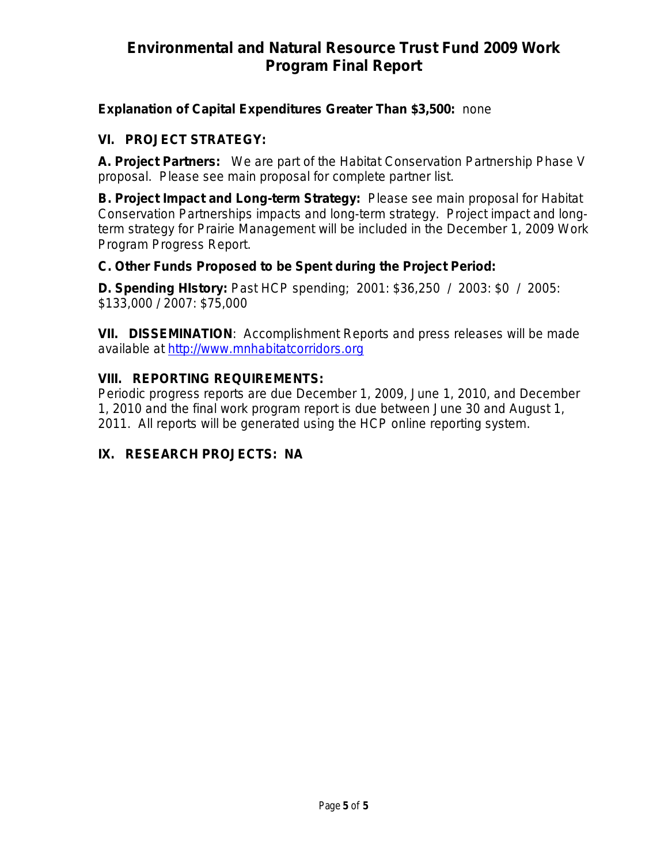### **Explanation of Capital Expenditures Greater Than \$3,500:** *none*

### **VI. PROJECT STRATEGY:**

**A. Project Partners:** We are part of the Habitat Conservation Partnership Phase V proposal. Please see main proposal for complete partner list.

**B. Project Impact and Long-term Strategy:** Please see main proposal for Habitat Conservation Partnerships impacts and long-term strategy. Project impact and longterm strategy for Prairie Management will be included in the December 1, 2009 Work Program Progress Report.

### **C. Other Funds Proposed to be Spent during the Project Period:**

**D. Spending HIstory:** Past HCP spending; 2001: \$36,250 / 2003: \$0 / 2005: \$133,000 / 2007: \$75,000

**VII. DISSEMINATION**:Accomplishment Reports and press releases will be made available at [http://www.mnhabitatcorridors.org](http://www.mnhabitatcorridors.org/)

### **VIII. REPORTING REQUIREMENTS:**

Periodic progress reports are due December 1, 2009, June 1, 2010, and December 1, 2010 and the final work program report is due between June 30 and August 1, 2011. All reports will be generated using the HCP online reporting system.

### **IX. RESEARCH PROJECTS: NA**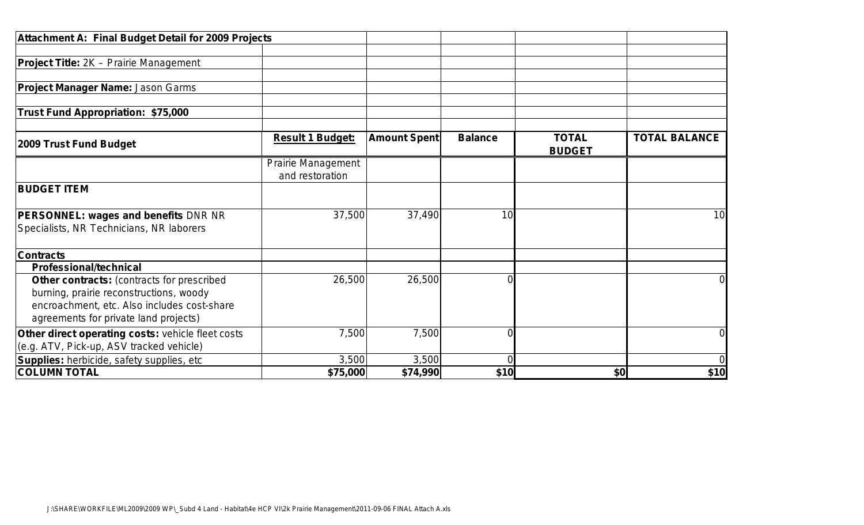| Attachment A: Final Budget Detail for 2009 Projects                                           |                                              |                     |                |                               |                      |
|-----------------------------------------------------------------------------------------------|----------------------------------------------|---------------------|----------------|-------------------------------|----------------------|
|                                                                                               |                                              |                     |                |                               |                      |
| <b>Project Title:</b> 2K – Prairie Management                                                 |                                              |                     |                |                               |                      |
|                                                                                               |                                              |                     |                |                               |                      |
| <b>Project Manager Name: Jason Garms</b>                                                      |                                              |                     |                |                               |                      |
| Trust Fund Appropriation: \$75,000                                                            |                                              |                     |                |                               |                      |
| 2009 Trust Fund Budget                                                                        | <b>Result 1 Budget:</b>                      | <b>Amount Spent</b> | <b>Balance</b> | <b>TOTAL</b><br><b>BUDGET</b> | <b>TOTAL BALANCE</b> |
|                                                                                               | <b>Prairie Management</b><br>and restoration |                     |                |                               |                      |
| <b>BUDGET ITEM</b>                                                                            |                                              |                     |                |                               |                      |
| <b>PERSONNEL: wages and benefits DNR NR</b>                                                   | 37,500                                       | 37,490              | 10             |                               | 10 <sup>1</sup>      |
| Specialists, NR Technicians, NR laborers                                                      |                                              |                     |                |                               |                      |
| <b>Contracts</b>                                                                              |                                              |                     |                |                               |                      |
| <b>Professional/technical</b>                                                                 |                                              |                     |                |                               |                      |
| Other contracts: (contracts for prescribed<br>burning, prairie reconstructions, woody         | 26,500                                       | 26,500              |                |                               | $\overline{0}$       |
| encroachment, etc. Also includes cost-share<br>agreements for private land projects)          |                                              |                     |                |                               |                      |
| Other direct operating costs: vehicle fleet costs<br>(e.g. ATV, Pick-up, ASV tracked vehicle) | 7,500                                        | 7,500               | 0              |                               | $\overline{0}$       |
| Supplies: herbicide, safety supplies, etc                                                     | 3,500                                        | 3,500               |                |                               | $\overline{0}$       |
| <b>COLUMN TOTAL</b>                                                                           | \$75,000                                     | \$74,990            | \$10           | \$0                           | \$10                 |